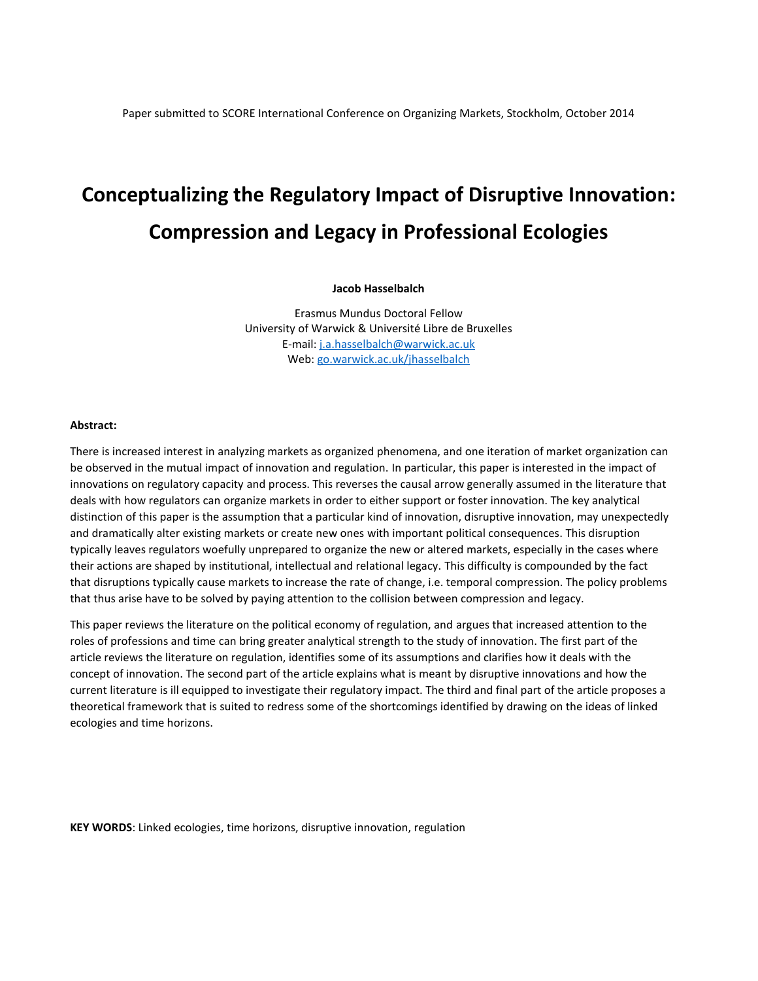# **Conceptualizing the Regulatory Impact of Disruptive Innovation: Compression and Legacy in Professional Ecologies**

#### **Jacob Hasselbalch**

Erasmus Mundus Doctoral Fellow University of Warwick & Université Libre de Bruxelles E-mail: [j.a.hasselbalch@warwick.ac.uk](mailto:j.a.hasselbalch@warwick.ac.uk) Web[: go.warwick.ac.uk/jhasselbalch](file:///C:/Users/jhasselbalch/Dropbox/PhD/Drafts/Papers/SASE%202014/go.warwick.ac.uk/jhasselbalch)

#### **Abstract:**

There is increased interest in analyzing markets as organized phenomena, and one iteration of market organization can be observed in the mutual impact of innovation and regulation. In particular, this paper is interested in the impact of innovations on regulatory capacity and process. This reverses the causal arrow generally assumed in the literature that deals with how regulators can organize markets in order to either support or foster innovation. The key analytical distinction of this paper is the assumption that a particular kind of innovation, disruptive innovation, may unexpectedly and dramatically alter existing markets or create new ones with important political consequences. This disruption typically leaves regulators woefully unprepared to organize the new or altered markets, especially in the cases where their actions are shaped by institutional, intellectual and relational legacy. This difficulty is compounded by the fact that disruptions typically cause markets to increase the rate of change, i.e. temporal compression. The policy problems that thus arise have to be solved by paying attention to the collision between compression and legacy.

This paper reviews the literature on the political economy of regulation, and argues that increased attention to the roles of professions and time can bring greater analytical strength to the study of innovation. The first part of the article reviews the literature on regulation, identifies some of its assumptions and clarifies how it deals with the concept of innovation. The second part of the article explains what is meant by disruptive innovations and how the current literature is ill equipped to investigate their regulatory impact. The third and final part of the article proposes a theoretical framework that is suited to redress some of the shortcomings identified by drawing on the ideas of linked ecologies and time horizons.

**KEY WORDS**: Linked ecologies, time horizons, disruptive innovation, regulation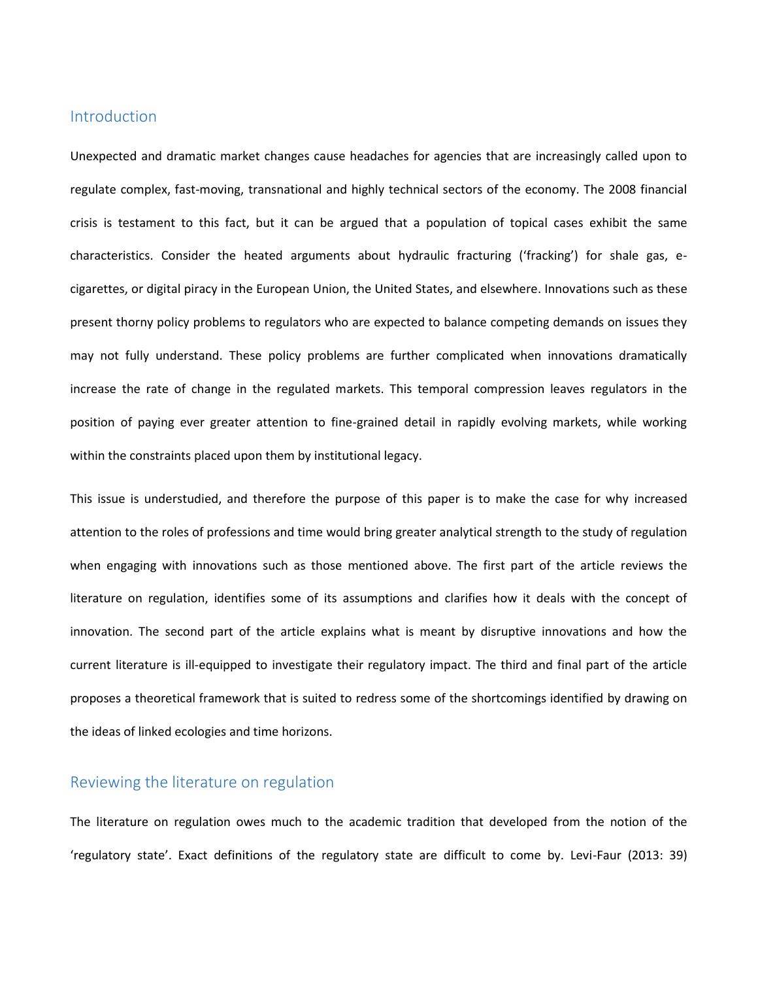#### Introduction

Unexpected and dramatic market changes cause headaches for agencies that are increasingly called upon to regulate complex, fast-moving, transnational and highly technical sectors of the economy. The 2008 financial crisis is testament to this fact, but it can be argued that a population of topical cases exhibit the same characteristics. Consider the heated arguments about hydraulic fracturing ('fracking') for shale gas, ecigarettes, or digital piracy in the European Union, the United States, and elsewhere. Innovations such as these present thorny policy problems to regulators who are expected to balance competing demands on issues they may not fully understand. These policy problems are further complicated when innovations dramatically increase the rate of change in the regulated markets. This temporal compression leaves regulators in the position of paying ever greater attention to fine-grained detail in rapidly evolving markets, while working within the constraints placed upon them by institutional legacy.

This issue is understudied, and therefore the purpose of this paper is to make the case for why increased attention to the roles of professions and time would bring greater analytical strength to the study of regulation when engaging with innovations such as those mentioned above. The first part of the article reviews the literature on regulation, identifies some of its assumptions and clarifies how it deals with the concept of innovation. The second part of the article explains what is meant by disruptive innovations and how the current literature is ill-equipped to investigate their regulatory impact. The third and final part of the article proposes a theoretical framework that is suited to redress some of the shortcomings identified by drawing on the ideas of linked ecologies and time horizons.

#### Reviewing the literature on regulation

The literature on regulation owes much to the academic tradition that developed from the notion of the 'regulatory state'. Exact definitions of the regulatory state are difficult to come by. Levi-Faur (2013: 39)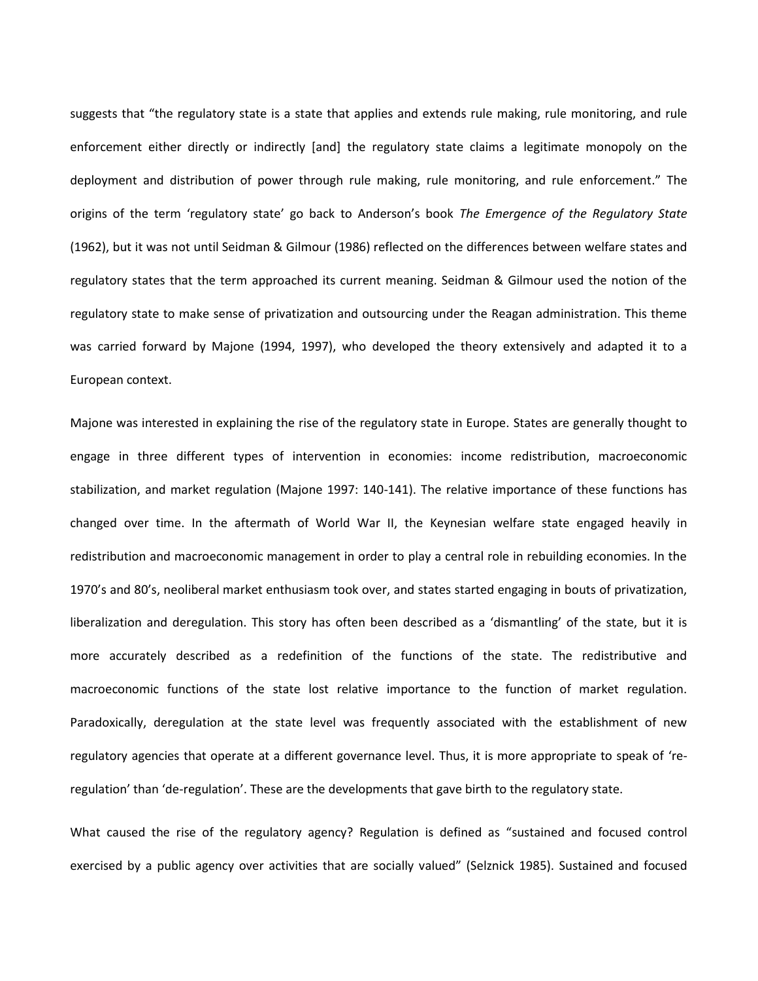suggests that "the regulatory state is a state that applies and extends rule making, rule monitoring, and rule enforcement either directly or indirectly [and] the regulatory state claims a legitimate monopoly on the deployment and distribution of power through rule making, rule monitoring, and rule enforcement." The origins of the term 'regulatory state' go back to Anderson's book *The Emergence of the Regulatory State* (1962), but it was not until Seidman & Gilmour (1986) reflected on the differences between welfare states and regulatory states that the term approached its current meaning. Seidman & Gilmour used the notion of the regulatory state to make sense of privatization and outsourcing under the Reagan administration. This theme was carried forward by Majone (1994, 1997), who developed the theory extensively and adapted it to a European context.

Majone was interested in explaining the rise of the regulatory state in Europe. States are generally thought to engage in three different types of intervention in economies: income redistribution, macroeconomic stabilization, and market regulation (Majone 1997: 140-141). The relative importance of these functions has changed over time. In the aftermath of World War II, the Keynesian welfare state engaged heavily in redistribution and macroeconomic management in order to play a central role in rebuilding economies. In the 1970's and 80's, neoliberal market enthusiasm took over, and states started engaging in bouts of privatization, liberalization and deregulation. This story has often been described as a 'dismantling' of the state, but it is more accurately described as a redefinition of the functions of the state. The redistributive and macroeconomic functions of the state lost relative importance to the function of market regulation. Paradoxically, deregulation at the state level was frequently associated with the establishment of new regulatory agencies that operate at a different governance level. Thus, it is more appropriate to speak of 'reregulation' than 'de-regulation'. These are the developments that gave birth to the regulatory state.

What caused the rise of the regulatory agency? Regulation is defined as "sustained and focused control exercised by a public agency over activities that are socially valued" (Selznick 1985). Sustained and focused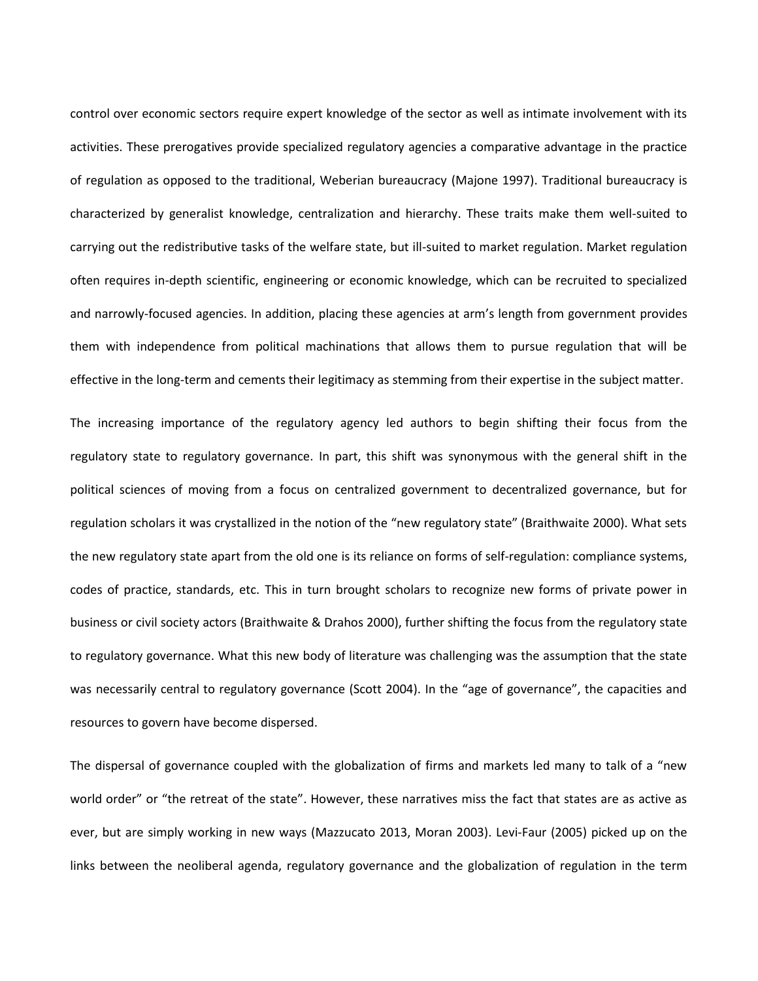control over economic sectors require expert knowledge of the sector as well as intimate involvement with its activities. These prerogatives provide specialized regulatory agencies a comparative advantage in the practice of regulation as opposed to the traditional, Weberian bureaucracy (Majone 1997). Traditional bureaucracy is characterized by generalist knowledge, centralization and hierarchy. These traits make them well-suited to carrying out the redistributive tasks of the welfare state, but ill-suited to market regulation. Market regulation often requires in-depth scientific, engineering or economic knowledge, which can be recruited to specialized and narrowly-focused agencies. In addition, placing these agencies at arm's length from government provides them with independence from political machinations that allows them to pursue regulation that will be effective in the long-term and cements their legitimacy as stemming from their expertise in the subject matter.

The increasing importance of the regulatory agency led authors to begin shifting their focus from the regulatory state to regulatory governance. In part, this shift was synonymous with the general shift in the political sciences of moving from a focus on centralized government to decentralized governance, but for regulation scholars it was crystallized in the notion of the "new regulatory state" (Braithwaite 2000). What sets the new regulatory state apart from the old one is its reliance on forms of self-regulation: compliance systems, codes of practice, standards, etc. This in turn brought scholars to recognize new forms of private power in business or civil society actors (Braithwaite & Drahos 2000), further shifting the focus from the regulatory state to regulatory governance. What this new body of literature was challenging was the assumption that the state was necessarily central to regulatory governance (Scott 2004). In the "age of governance", the capacities and resources to govern have become dispersed.

The dispersal of governance coupled with the globalization of firms and markets led many to talk of a "new world order" or "the retreat of the state". However, these narratives miss the fact that states are as active as ever, but are simply working in new ways (Mazzucato 2013, Moran 2003). Levi-Faur (2005) picked up on the links between the neoliberal agenda, regulatory governance and the globalization of regulation in the term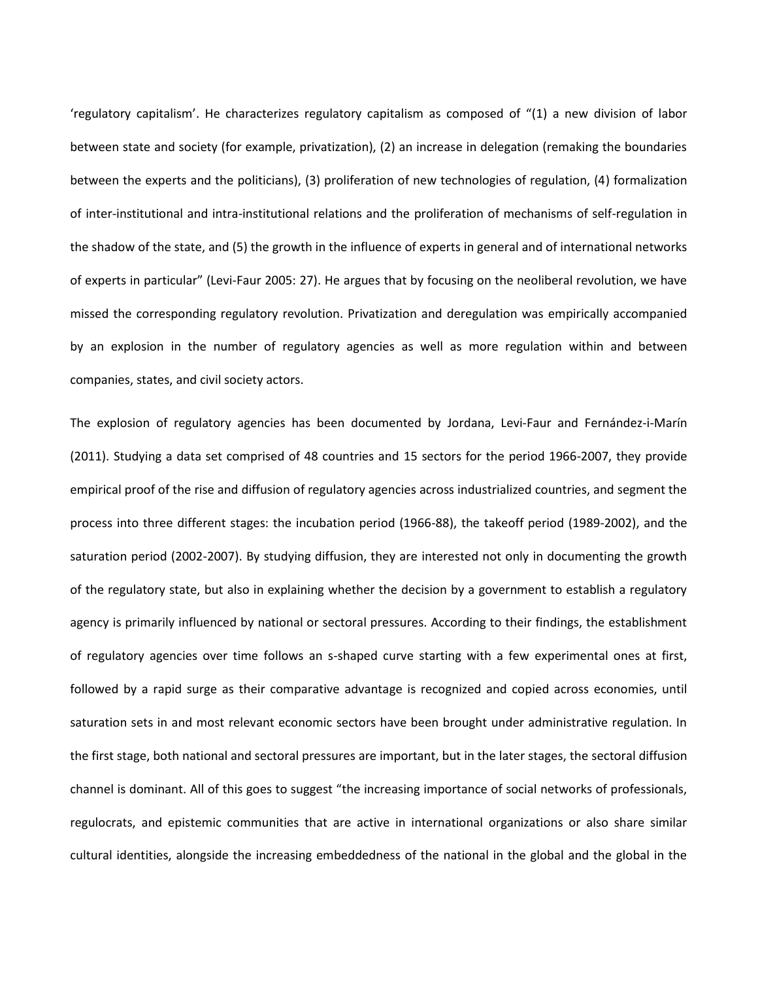'regulatory capitalism'. He characterizes regulatory capitalism as composed of "(1) a new division of labor between state and society (for example, privatization), (2) an increase in delegation (remaking the boundaries between the experts and the politicians), (3) proliferation of new technologies of regulation, (4) formalization of inter-institutional and intra-institutional relations and the proliferation of mechanisms of self-regulation in the shadow of the state, and (5) the growth in the influence of experts in general and of international networks of experts in particular" (Levi-Faur 2005: 27). He argues that by focusing on the neoliberal revolution, we have missed the corresponding regulatory revolution. Privatization and deregulation was empirically accompanied by an explosion in the number of regulatory agencies as well as more regulation within and between companies, states, and civil society actors.

The explosion of regulatory agencies has been documented by Jordana, Levi-Faur and Fernández-i-Marín (2011). Studying a data set comprised of 48 countries and 15 sectors for the period 1966-2007, they provide empirical proof of the rise and diffusion of regulatory agencies across industrialized countries, and segment the process into three different stages: the incubation period (1966-88), the takeoff period (1989-2002), and the saturation period (2002-2007). By studying diffusion, they are interested not only in documenting the growth of the regulatory state, but also in explaining whether the decision by a government to establish a regulatory agency is primarily influenced by national or sectoral pressures. According to their findings, the establishment of regulatory agencies over time follows an s-shaped curve starting with a few experimental ones at first, followed by a rapid surge as their comparative advantage is recognized and copied across economies, until saturation sets in and most relevant economic sectors have been brought under administrative regulation. In the first stage, both national and sectoral pressures are important, but in the later stages, the sectoral diffusion channel is dominant. All of this goes to suggest "the increasing importance of social networks of professionals, regulocrats, and epistemic communities that are active in international organizations or also share similar cultural identities, alongside the increasing embeddedness of the national in the global and the global in the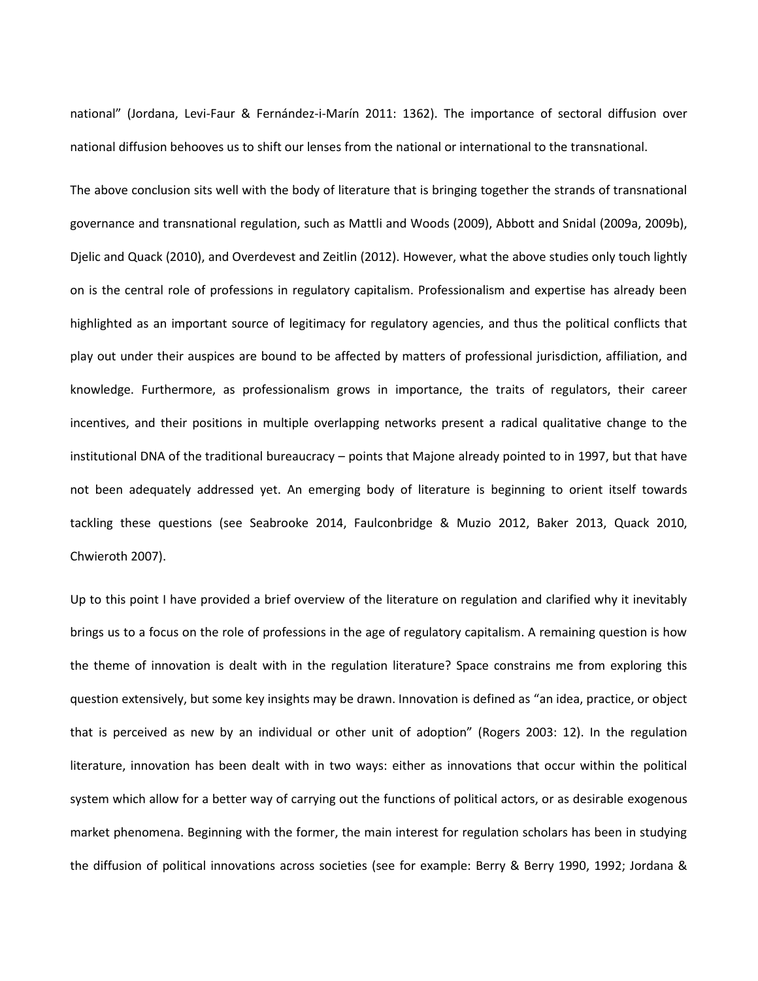national" (Jordana, Levi-Faur & Fernández-i-Marín 2011: 1362). The importance of sectoral diffusion over national diffusion behooves us to shift our lenses from the national or international to the transnational.

The above conclusion sits well with the body of literature that is bringing together the strands of transnational governance and transnational regulation, such as Mattli and Woods (2009), Abbott and Snidal (2009a, 2009b), Djelic and Quack (2010), and Overdevest and Zeitlin (2012). However, what the above studies only touch lightly on is the central role of professions in regulatory capitalism. Professionalism and expertise has already been highlighted as an important source of legitimacy for regulatory agencies, and thus the political conflicts that play out under their auspices are bound to be affected by matters of professional jurisdiction, affiliation, and knowledge. Furthermore, as professionalism grows in importance, the traits of regulators, their career incentives, and their positions in multiple overlapping networks present a radical qualitative change to the institutional DNA of the traditional bureaucracy – points that Majone already pointed to in 1997, but that have not been adequately addressed yet. An emerging body of literature is beginning to orient itself towards tackling these questions (see Seabrooke 2014, Faulconbridge & Muzio 2012, Baker 2013, Quack 2010, Chwieroth 2007).

Up to this point I have provided a brief overview of the literature on regulation and clarified why it inevitably brings us to a focus on the role of professions in the age of regulatory capitalism. A remaining question is how the theme of innovation is dealt with in the regulation literature? Space constrains me from exploring this question extensively, but some key insights may be drawn. Innovation is defined as "an idea, practice, or object that is perceived as new by an individual or other unit of adoption" (Rogers 2003: 12). In the regulation literature, innovation has been dealt with in two ways: either as innovations that occur within the political system which allow for a better way of carrying out the functions of political actors, or as desirable exogenous market phenomena. Beginning with the former, the main interest for regulation scholars has been in studying the diffusion of political innovations across societies (see for example: Berry & Berry 1990, 1992; Jordana &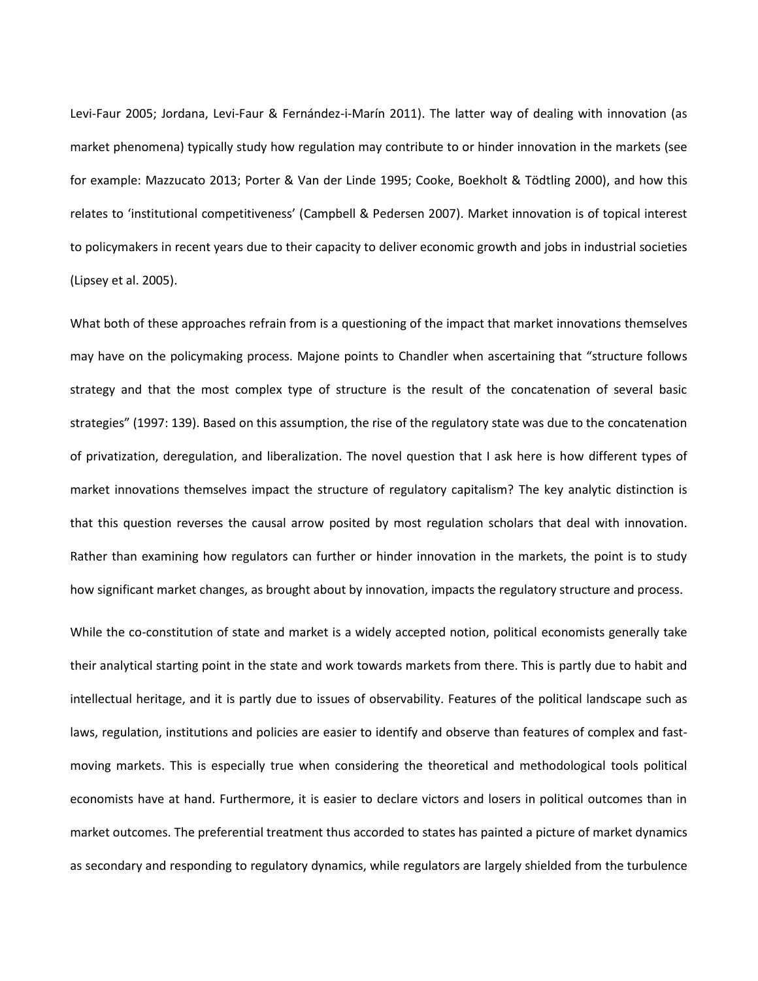Levi-Faur 2005; Jordana, Levi-Faur & Fernández-i-Marín 2011). The latter way of dealing with innovation (as market phenomena) typically study how regulation may contribute to or hinder innovation in the markets (see for example: Mazzucato 2013; Porter & Van der Linde 1995; Cooke, Boekholt & Tödtling 2000), and how this relates to 'institutional competitiveness' (Campbell & Pedersen 2007). Market innovation is of topical interest to policymakers in recent years due to their capacity to deliver economic growth and jobs in industrial societies (Lipsey et al. 2005).

What both of these approaches refrain from is a questioning of the impact that market innovations themselves may have on the policymaking process. Majone points to Chandler when ascertaining that "structure follows strategy and that the most complex type of structure is the result of the concatenation of several basic strategies" (1997: 139). Based on this assumption, the rise of the regulatory state was due to the concatenation of privatization, deregulation, and liberalization. The novel question that I ask here is how different types of market innovations themselves impact the structure of regulatory capitalism? The key analytic distinction is that this question reverses the causal arrow posited by most regulation scholars that deal with innovation. Rather than examining how regulators can further or hinder innovation in the markets, the point is to study how significant market changes, as brought about by innovation, impacts the regulatory structure and process.

While the co-constitution of state and market is a widely accepted notion, political economists generally take their analytical starting point in the state and work towards markets from there. This is partly due to habit and intellectual heritage, and it is partly due to issues of observability. Features of the political landscape such as laws, regulation, institutions and policies are easier to identify and observe than features of complex and fastmoving markets. This is especially true when considering the theoretical and methodological tools political economists have at hand. Furthermore, it is easier to declare victors and losers in political outcomes than in market outcomes. The preferential treatment thus accorded to states has painted a picture of market dynamics as secondary and responding to regulatory dynamics, while regulators are largely shielded from the turbulence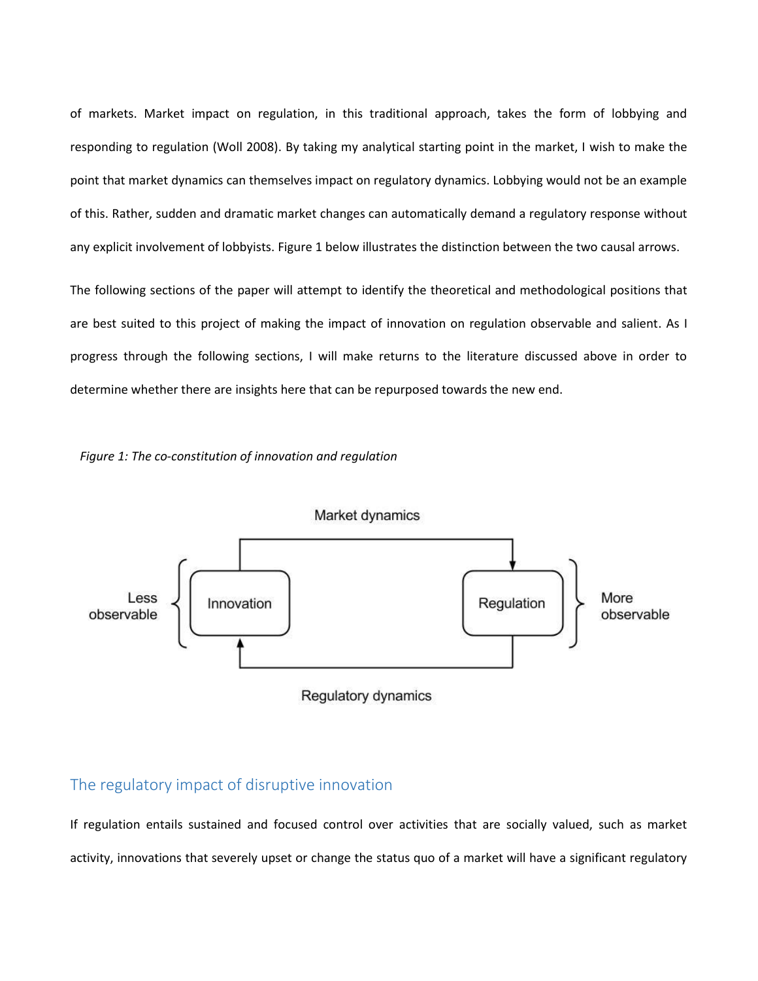of markets. Market impact on regulation, in this traditional approach, takes the form of lobbying and responding to regulation (Woll 2008). By taking my analytical starting point in the market, I wish to make the point that market dynamics can themselves impact on regulatory dynamics. Lobbying would not be an example of this. Rather, sudden and dramatic market changes can automatically demand a regulatory response without any explicit involvement of lobbyists. Figure 1 below illustrates the distinction between the two causal arrows.

The following sections of the paper will attempt to identify the theoretical and methodological positions that are best suited to this project of making the impact of innovation on regulation observable and salient. As I progress through the following sections, I will make returns to the literature discussed above in order to determine whether there are insights here that can be repurposed towards the new end.





## The regulatory impact of disruptive innovation

If regulation entails sustained and focused control over activities that are socially valued, such as market activity, innovations that severely upset or change the status quo of a market will have a significant regulatory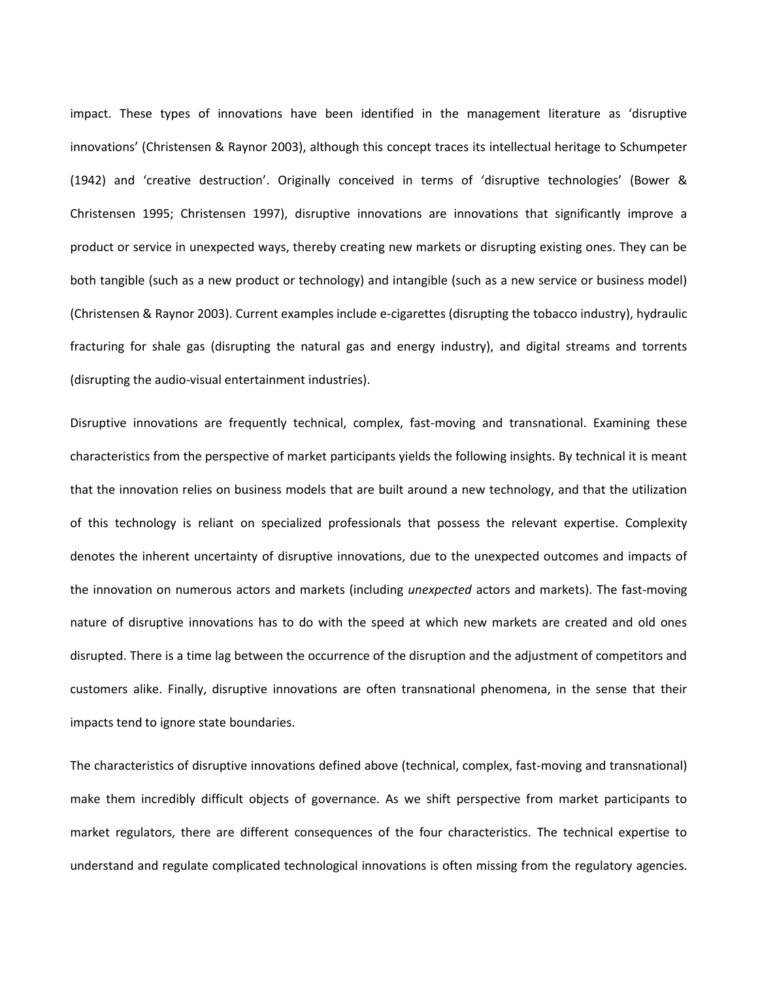impact. These types of innovations have been identified in the management literature as 'disruptive innovations' (Christensen & Raynor 2003), although this concept traces its intellectual heritage to Schumpeter (1942) and 'creative destruction'. Originally conceived in terms of 'disruptive technologies' (Bower & Christensen 1995; Christensen 1997), disruptive innovations are innovations that significantly improve a product or service in unexpected ways, thereby creating new markets or disrupting existing ones. They can be both tangible (such as a new product or technology) and intangible (such as a new service or business model) (Christensen & Raynor 2003). Current examples include e-cigarettes (disrupting the tobacco industry), hydraulic fracturing for shale gas (disrupting the natural gas and energy industry), and digital streams and torrents (disrupting the audio-visual entertainment industries).

Disruptive innovations are frequently technical, complex, fast-moving and transnational. Examining these characteristics from the perspective of market participants yields the following insights. By technical it is meant that the innovation relies on business models that are built around a new technology, and that the utilization of this technology is reliant on specialized professionals that possess the relevant expertise. Complexity denotes the inherent uncertainty of disruptive innovations, due to the unexpected outcomes and impacts of the innovation on numerous actors and markets (including *unexpected* actors and markets). The fast-moving nature of disruptive innovations has to do with the speed at which new markets are created and old ones disrupted. There is a time lag between the occurrence of the disruption and the adjustment of competitors and customers alike. Finally, disruptive innovations are often transnational phenomena, in the sense that their impacts tend to ignore state boundaries.

The characteristics of disruptive innovations defined above (technical, complex, fast-moving and transnational) make them incredibly difficult objects of governance. As we shift perspective from market participants to market regulators, there are different consequences of the four characteristics. The technical expertise to understand and regulate complicated technological innovations is often missing from the regulatory agencies.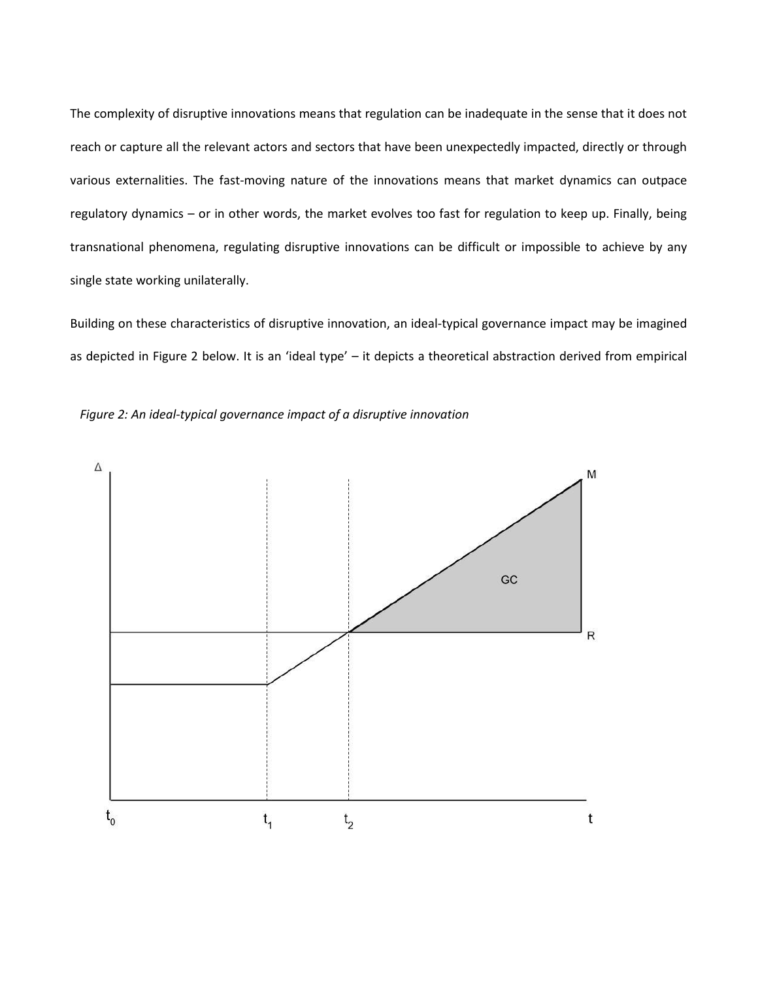The complexity of disruptive innovations means that regulation can be inadequate in the sense that it does not reach or capture all the relevant actors and sectors that have been unexpectedly impacted, directly or through various externalities. The fast-moving nature of the innovations means that market dynamics can outpace regulatory dynamics – or in other words, the market evolves too fast for regulation to keep up. Finally, being transnational phenomena, regulating disruptive innovations can be difficult or impossible to achieve by any single state working unilaterally.

Building on these characteristics of disruptive innovation, an ideal-typical governance impact may be imagined as depicted in Figure 2 below. It is an 'ideal type' – it depicts a theoretical abstraction derived from empirical



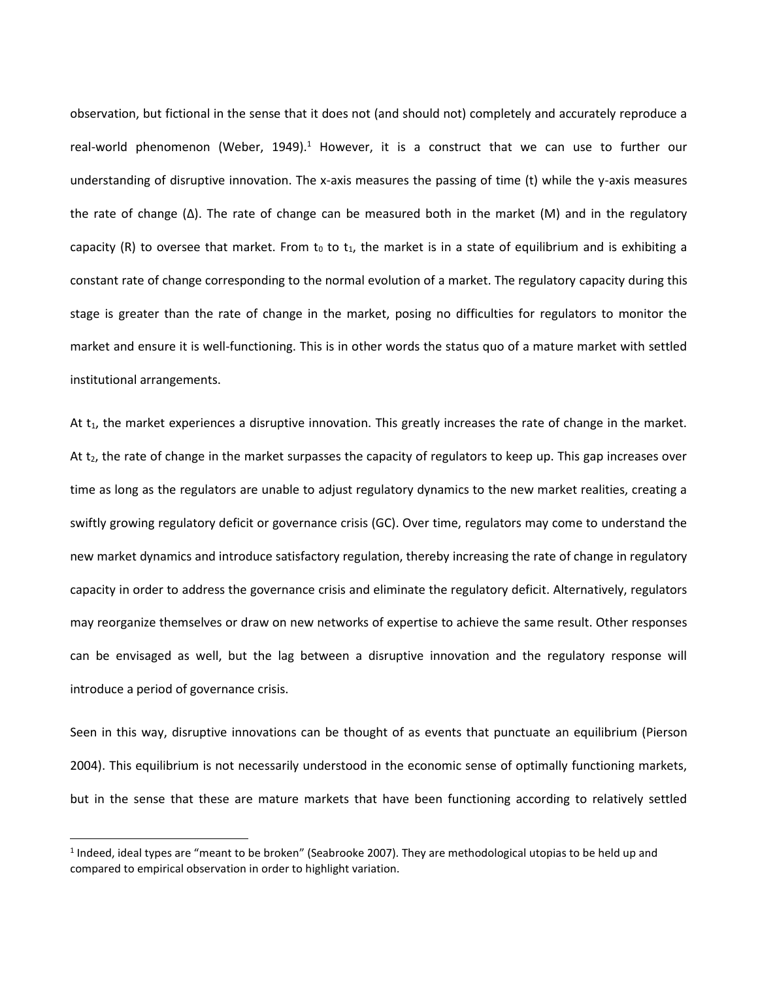observation, but fictional in the sense that it does not (and should not) completely and accurately reproduce a real-world phenomenon (Weber, 1949).<sup>1</sup> However, it is a construct that we can use to further our understanding of disruptive innovation. The x-axis measures the passing of time (t) while the y-axis measures the rate of change (∆). The rate of change can be measured both in the market (M) and in the regulatory capacity (R) to oversee that market. From  $t_0$  to  $t_1$ , the market is in a state of equilibrium and is exhibiting a constant rate of change corresponding to the normal evolution of a market. The regulatory capacity during this stage is greater than the rate of change in the market, posing no difficulties for regulators to monitor the market and ensure it is well-functioning. This is in other words the status quo of a mature market with settled institutional arrangements.

At  $t_1$ , the market experiences a disruptive innovation. This greatly increases the rate of change in the market. At t<sub>2</sub>, the rate of change in the market surpasses the capacity of regulators to keep up. This gap increases over time as long as the regulators are unable to adjust regulatory dynamics to the new market realities, creating a swiftly growing regulatory deficit or governance crisis (GC). Over time, regulators may come to understand the new market dynamics and introduce satisfactory regulation, thereby increasing the rate of change in regulatory capacity in order to address the governance crisis and eliminate the regulatory deficit. Alternatively, regulators may reorganize themselves or draw on new networks of expertise to achieve the same result. Other responses can be envisaged as well, but the lag between a disruptive innovation and the regulatory response will introduce a period of governance crisis.

Seen in this way, disruptive innovations can be thought of as events that punctuate an equilibrium (Pierson 2004). This equilibrium is not necessarily understood in the economic sense of optimally functioning markets, but in the sense that these are mature markets that have been functioning according to relatively settled

 $\overline{\phantom{a}}$ 

 $<sup>1</sup>$  Indeed, ideal types are "meant to be broken" (Seabrooke 2007). They are methodological utopias to be held up and</sup> compared to empirical observation in order to highlight variation.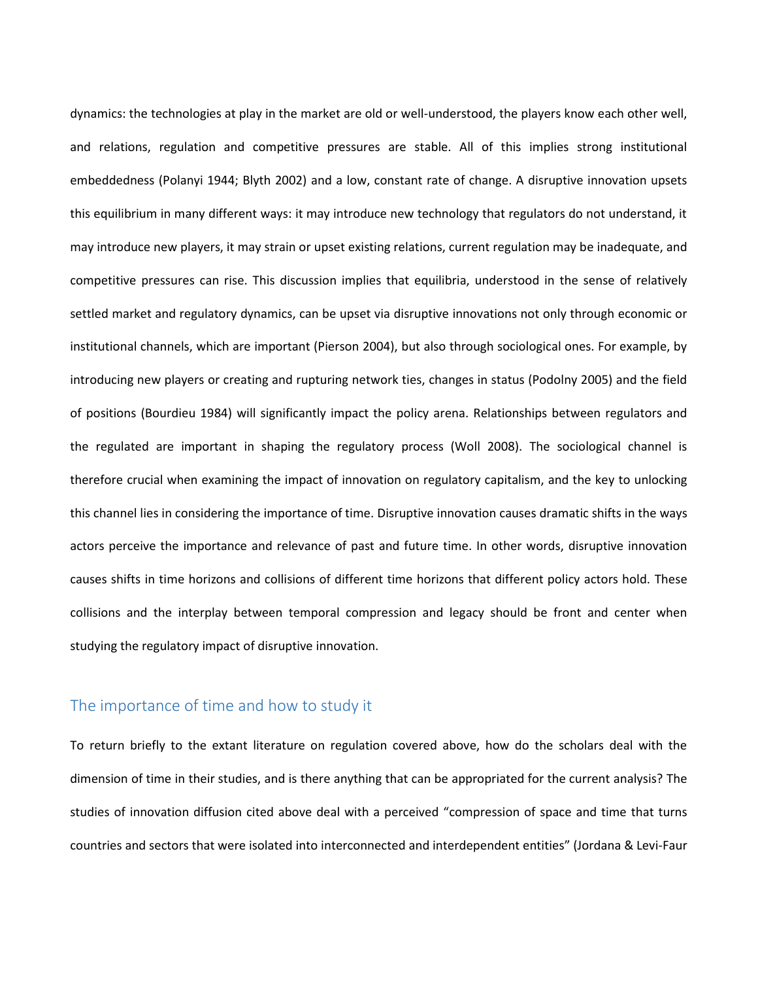dynamics: the technologies at play in the market are old or well-understood, the players know each other well, and relations, regulation and competitive pressures are stable. All of this implies strong institutional embeddedness (Polanyi 1944; Blyth 2002) and a low, constant rate of change. A disruptive innovation upsets this equilibrium in many different ways: it may introduce new technology that regulators do not understand, it may introduce new players, it may strain or upset existing relations, current regulation may be inadequate, and competitive pressures can rise. This discussion implies that equilibria, understood in the sense of relatively settled market and regulatory dynamics, can be upset via disruptive innovations not only through economic or institutional channels, which are important (Pierson 2004), but also through sociological ones. For example, by introducing new players or creating and rupturing network ties, changes in status (Podolny 2005) and the field of positions (Bourdieu 1984) will significantly impact the policy arena. Relationships between regulators and the regulated are important in shaping the regulatory process (Woll 2008). The sociological channel is therefore crucial when examining the impact of innovation on regulatory capitalism, and the key to unlocking this channel lies in considering the importance of time. Disruptive innovation causes dramatic shifts in the ways actors perceive the importance and relevance of past and future time. In other words, disruptive innovation causes shifts in time horizons and collisions of different time horizons that different policy actors hold. These collisions and the interplay between temporal compression and legacy should be front and center when studying the regulatory impact of disruptive innovation.

#### The importance of time and how to study it

To return briefly to the extant literature on regulation covered above, how do the scholars deal with the dimension of time in their studies, and is there anything that can be appropriated for the current analysis? The studies of innovation diffusion cited above deal with a perceived "compression of space and time that turns countries and sectors that were isolated into interconnected and interdependent entities" (Jordana & Levi-Faur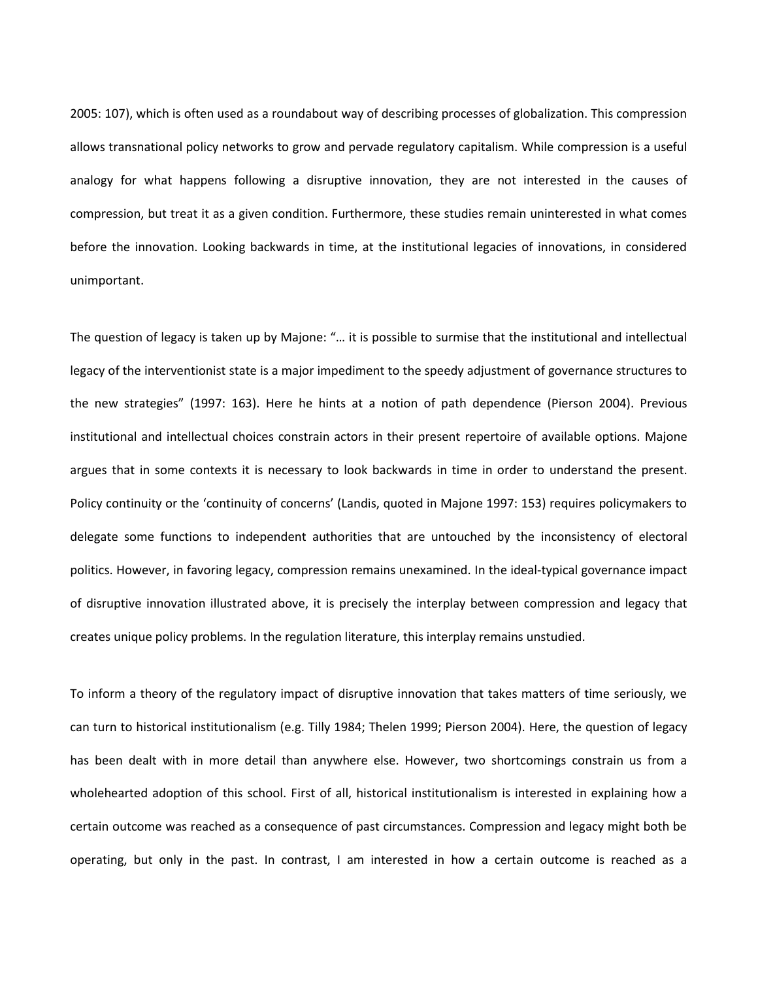2005: 107), which is often used as a roundabout way of describing processes of globalization. This compression allows transnational policy networks to grow and pervade regulatory capitalism. While compression is a useful analogy for what happens following a disruptive innovation, they are not interested in the causes of compression, but treat it as a given condition. Furthermore, these studies remain uninterested in what comes before the innovation. Looking backwards in time, at the institutional legacies of innovations, in considered unimportant.

The question of legacy is taken up by Majone: "… it is possible to surmise that the institutional and intellectual legacy of the interventionist state is a major impediment to the speedy adjustment of governance structures to the new strategies" (1997: 163). Here he hints at a notion of path dependence (Pierson 2004). Previous institutional and intellectual choices constrain actors in their present repertoire of available options. Majone argues that in some contexts it is necessary to look backwards in time in order to understand the present. Policy continuity or the 'continuity of concerns' (Landis, quoted in Majone 1997: 153) requires policymakers to delegate some functions to independent authorities that are untouched by the inconsistency of electoral politics. However, in favoring legacy, compression remains unexamined. In the ideal-typical governance impact of disruptive innovation illustrated above, it is precisely the interplay between compression and legacy that creates unique policy problems. In the regulation literature, this interplay remains unstudied.

To inform a theory of the regulatory impact of disruptive innovation that takes matters of time seriously, we can turn to historical institutionalism (e.g. Tilly 1984; Thelen 1999; Pierson 2004). Here, the question of legacy has been dealt with in more detail than anywhere else. However, two shortcomings constrain us from a wholehearted adoption of this school. First of all, historical institutionalism is interested in explaining how a certain outcome was reached as a consequence of past circumstances. Compression and legacy might both be operating, but only in the past. In contrast, I am interested in how a certain outcome is reached as a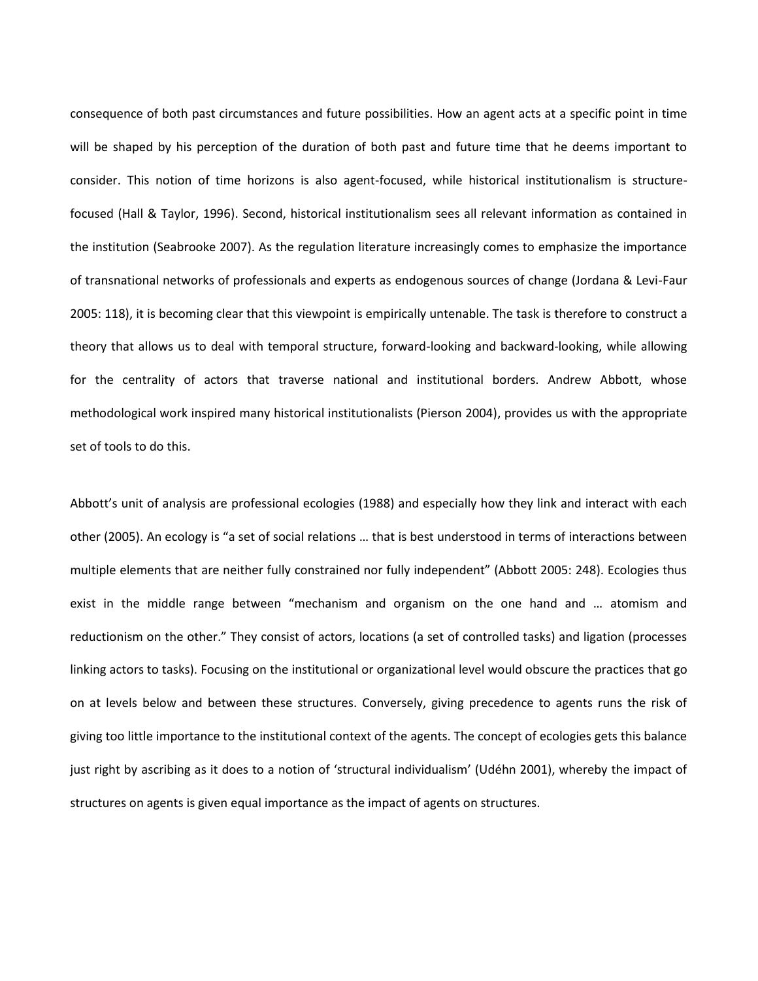consequence of both past circumstances and future possibilities. How an agent acts at a specific point in time will be shaped by his perception of the duration of both past and future time that he deems important to consider. This notion of time horizons is also agent-focused, while historical institutionalism is structurefocused (Hall & Taylor, 1996). Second, historical institutionalism sees all relevant information as contained in the institution (Seabrooke 2007). As the regulation literature increasingly comes to emphasize the importance of transnational networks of professionals and experts as endogenous sources of change (Jordana & Levi-Faur 2005: 118), it is becoming clear that this viewpoint is empirically untenable. The task is therefore to construct a theory that allows us to deal with temporal structure, forward-looking and backward-looking, while allowing for the centrality of actors that traverse national and institutional borders. Andrew Abbott, whose methodological work inspired many historical institutionalists (Pierson 2004), provides us with the appropriate set of tools to do this.

Abbott's unit of analysis are professional ecologies (1988) and especially how they link and interact with each other (2005). An ecology is "a set of social relations … that is best understood in terms of interactions between multiple elements that are neither fully constrained nor fully independent" (Abbott 2005: 248). Ecologies thus exist in the middle range between "mechanism and organism on the one hand and … atomism and reductionism on the other." They consist of actors, locations (a set of controlled tasks) and ligation (processes linking actors to tasks). Focusing on the institutional or organizational level would obscure the practices that go on at levels below and between these structures. Conversely, giving precedence to agents runs the risk of giving too little importance to the institutional context of the agents. The concept of ecologies gets this balance just right by ascribing as it does to a notion of 'structural individualism' (Udéhn 2001), whereby the impact of structures on agents is given equal importance as the impact of agents on structures.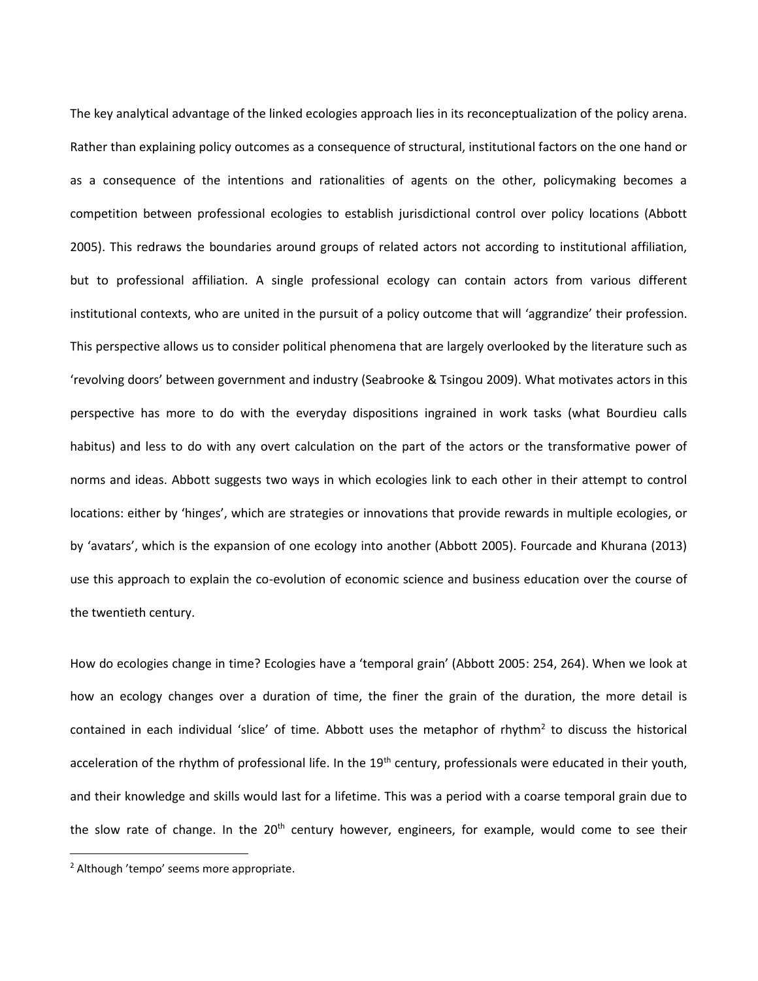The key analytical advantage of the linked ecologies approach lies in its reconceptualization of the policy arena. Rather than explaining policy outcomes as a consequence of structural, institutional factors on the one hand or as a consequence of the intentions and rationalities of agents on the other, policymaking becomes a competition between professional ecologies to establish jurisdictional control over policy locations (Abbott 2005). This redraws the boundaries around groups of related actors not according to institutional affiliation, but to professional affiliation. A single professional ecology can contain actors from various different institutional contexts, who are united in the pursuit of a policy outcome that will 'aggrandize' their profession. This perspective allows us to consider political phenomena that are largely overlooked by the literature such as 'revolving doors' between government and industry (Seabrooke & Tsingou 2009). What motivates actors in this perspective has more to do with the everyday dispositions ingrained in work tasks (what Bourdieu calls habitus) and less to do with any overt calculation on the part of the actors or the transformative power of norms and ideas. Abbott suggests two ways in which ecologies link to each other in their attempt to control locations: either by 'hinges', which are strategies or innovations that provide rewards in multiple ecologies, or by 'avatars', which is the expansion of one ecology into another (Abbott 2005). Fourcade and Khurana (2013) use this approach to explain the co-evolution of economic science and business education over the course of the twentieth century.

How do ecologies change in time? Ecologies have a 'temporal grain' (Abbott 2005: 254, 264). When we look at how an ecology changes over a duration of time, the finer the grain of the duration, the more detail is contained in each individual 'slice' of time. Abbott uses the metaphor of rhythm<sup>2</sup> to discuss the historical acceleration of the rhythm of professional life. In the 19<sup>th</sup> century, professionals were educated in their youth, and their knowledge and skills would last for a lifetime. This was a period with a coarse temporal grain due to the slow rate of change. In the 20<sup>th</sup> century however, engineers, for example, would come to see their

 $\overline{a}$ 

<sup>2</sup> Although 'tempo' seems more appropriate.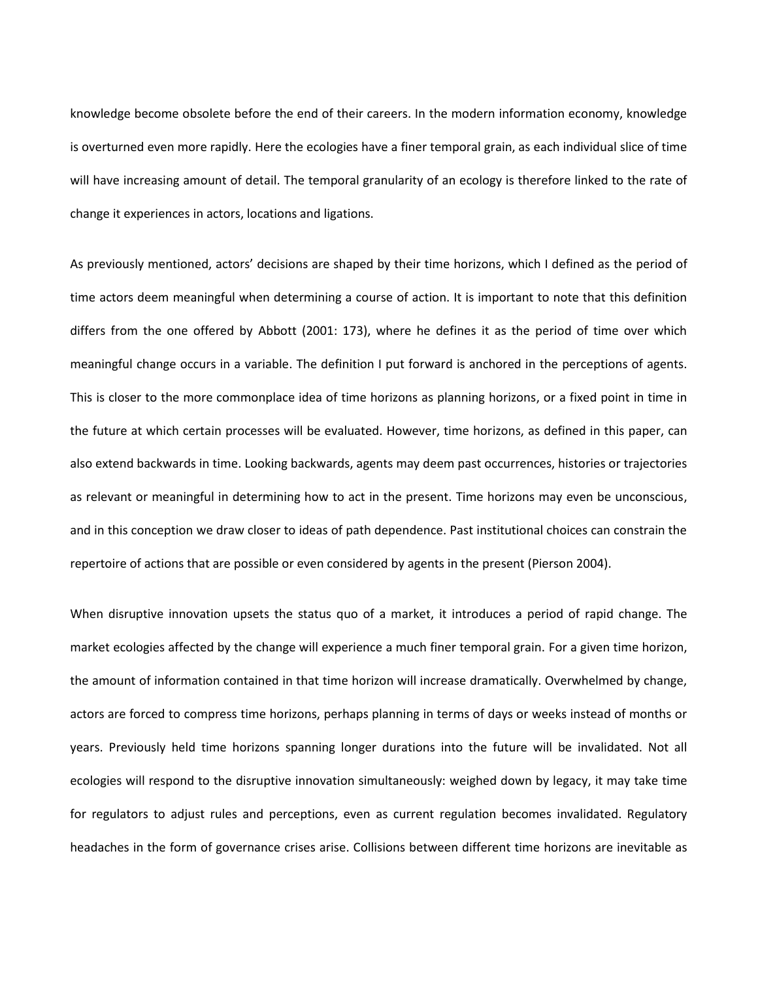knowledge become obsolete before the end of their careers. In the modern information economy, knowledge is overturned even more rapidly. Here the ecologies have a finer temporal grain, as each individual slice of time will have increasing amount of detail. The temporal granularity of an ecology is therefore linked to the rate of change it experiences in actors, locations and ligations.

As previously mentioned, actors' decisions are shaped by their time horizons, which I defined as the period of time actors deem meaningful when determining a course of action. It is important to note that this definition differs from the one offered by Abbott (2001: 173), where he defines it as the period of time over which meaningful change occurs in a variable. The definition I put forward is anchored in the perceptions of agents. This is closer to the more commonplace idea of time horizons as planning horizons, or a fixed point in time in the future at which certain processes will be evaluated. However, time horizons, as defined in this paper, can also extend backwards in time. Looking backwards, agents may deem past occurrences, histories or trajectories as relevant or meaningful in determining how to act in the present. Time horizons may even be unconscious, and in this conception we draw closer to ideas of path dependence. Past institutional choices can constrain the repertoire of actions that are possible or even considered by agents in the present (Pierson 2004).

When disruptive innovation upsets the status quo of a market, it introduces a period of rapid change. The market ecologies affected by the change will experience a much finer temporal grain. For a given time horizon, the amount of information contained in that time horizon will increase dramatically. Overwhelmed by change, actors are forced to compress time horizons, perhaps planning in terms of days or weeks instead of months or years. Previously held time horizons spanning longer durations into the future will be invalidated. Not all ecologies will respond to the disruptive innovation simultaneously: weighed down by legacy, it may take time for regulators to adjust rules and perceptions, even as current regulation becomes invalidated. Regulatory headaches in the form of governance crises arise. Collisions between different time horizons are inevitable as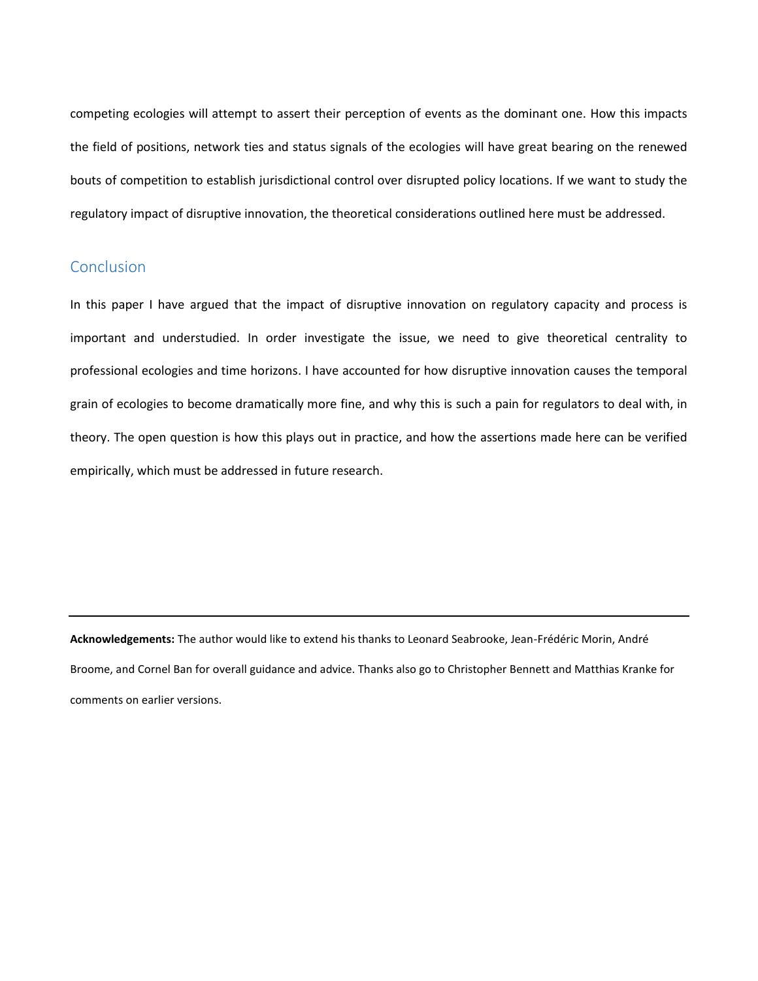competing ecologies will attempt to assert their perception of events as the dominant one. How this impacts the field of positions, network ties and status signals of the ecologies will have great bearing on the renewed bouts of competition to establish jurisdictional control over disrupted policy locations. If we want to study the regulatory impact of disruptive innovation, the theoretical considerations outlined here must be addressed.

## **Conclusion**

In this paper I have argued that the impact of disruptive innovation on regulatory capacity and process is important and understudied. In order investigate the issue, we need to give theoretical centrality to professional ecologies and time horizons. I have accounted for how disruptive innovation causes the temporal grain of ecologies to become dramatically more fine, and why this is such a pain for regulators to deal with, in theory. The open question is how this plays out in practice, and how the assertions made here can be verified empirically, which must be addressed in future research.

**Acknowledgements:** The author would like to extend his thanks to Leonard Seabrooke, Jean-Frédéric Morin, André Broome, and Cornel Ban for overall guidance and advice. Thanks also go to Christopher Bennett and Matthias Kranke for comments on earlier versions.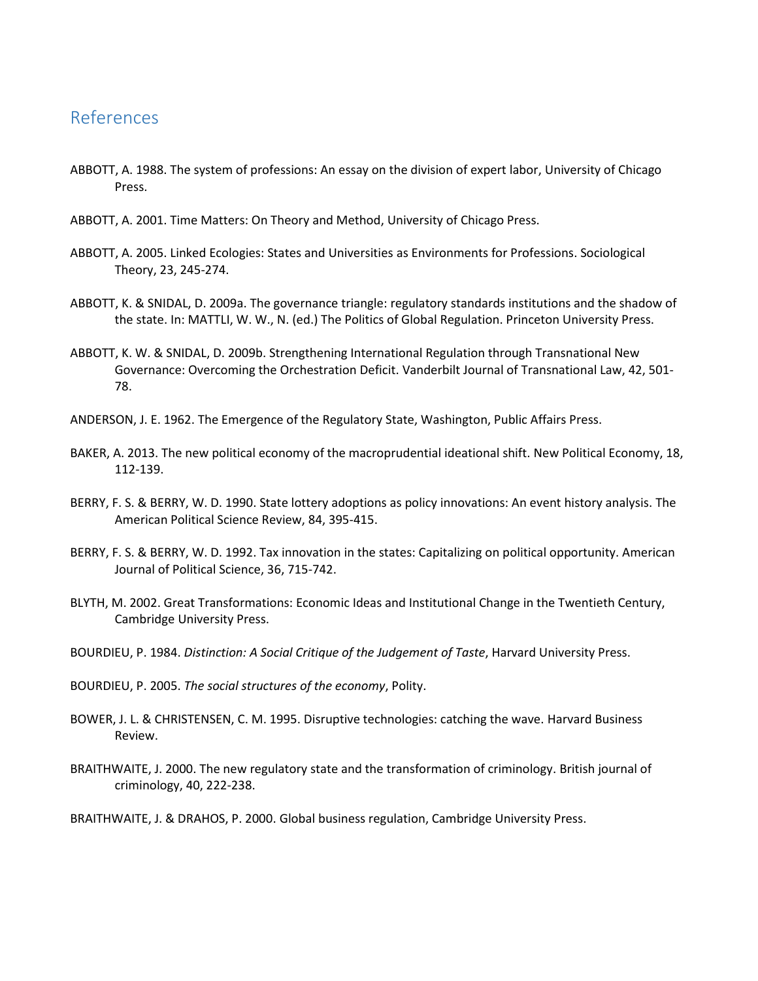## References

- ABBOTT, A. 1988. The system of professions: An essay on the division of expert labor, University of Chicago Press.
- ABBOTT, A. 2001. Time Matters: On Theory and Method, University of Chicago Press.
- ABBOTT, A. 2005. Linked Ecologies: States and Universities as Environments for Professions. Sociological Theory, 23, 245-274.
- ABBOTT, K. & SNIDAL, D. 2009a. The governance triangle: regulatory standards institutions and the shadow of the state. In: MATTLI, W. W., N. (ed.) The Politics of Global Regulation. Princeton University Press.
- ABBOTT, K. W. & SNIDAL, D. 2009b. Strengthening International Regulation through Transnational New Governance: Overcoming the Orchestration Deficit. Vanderbilt Journal of Transnational Law, 42, 501- 78.
- ANDERSON, J. E. 1962. The Emergence of the Regulatory State, Washington, Public Affairs Press.
- BAKER, A. 2013. The new political economy of the macroprudential ideational shift. New Political Economy, 18, 112-139.
- BERRY, F. S. & BERRY, W. D. 1990. State lottery adoptions as policy innovations: An event history analysis. The American Political Science Review, 84, 395-415.
- BERRY, F. S. & BERRY, W. D. 1992. Tax innovation in the states: Capitalizing on political opportunity. American Journal of Political Science, 36, 715-742.
- BLYTH, M. 2002. Great Transformations: Economic Ideas and Institutional Change in the Twentieth Century, Cambridge University Press.
- BOURDIEU, P. 1984. *Distinction: A Social Critique of the Judgement of Taste*, Harvard University Press.
- BOURDIEU, P. 2005. *The social structures of the economy*, Polity.
- BOWER, J. L. & CHRISTENSEN, C. M. 1995. Disruptive technologies: catching the wave. Harvard Business Review.
- BRAITHWAITE, J. 2000. The new regulatory state and the transformation of criminology. British journal of criminology, 40, 222-238.

BRAITHWAITE, J. & DRAHOS, P. 2000. Global business regulation, Cambridge University Press.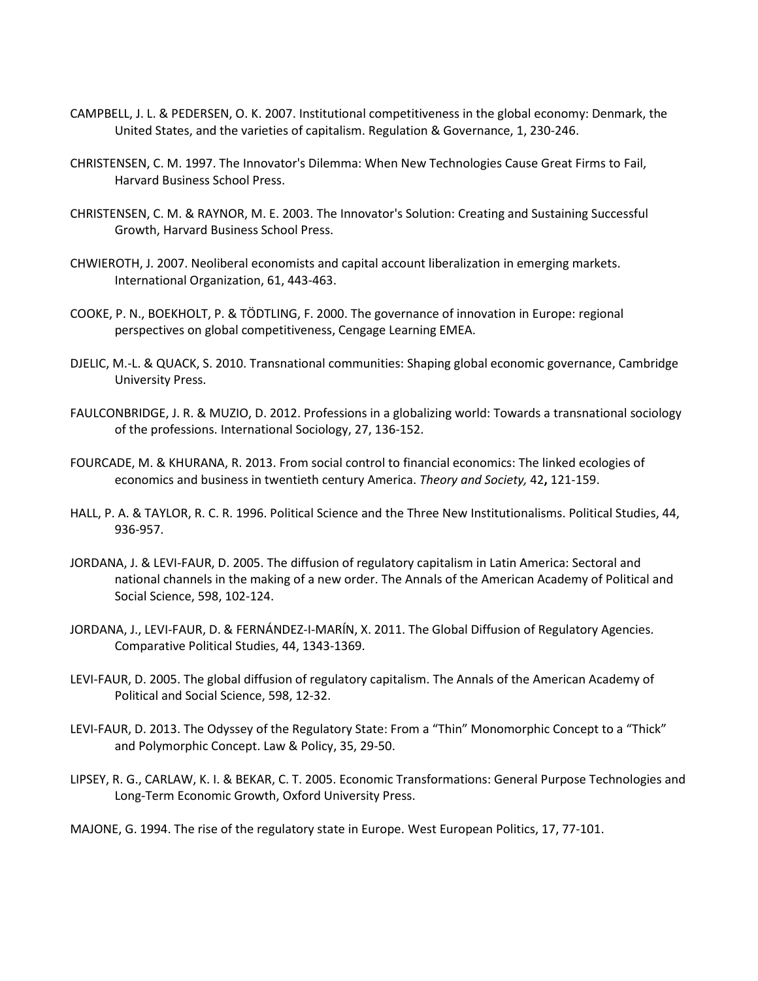- CAMPBELL, J. L. & PEDERSEN, O. K. 2007. Institutional competitiveness in the global economy: Denmark, the United States, and the varieties of capitalism. Regulation & Governance, 1, 230-246.
- CHRISTENSEN, C. M. 1997. The Innovator's Dilemma: When New Technologies Cause Great Firms to Fail, Harvard Business School Press.
- CHRISTENSEN, C. M. & RAYNOR, M. E. 2003. The Innovator's Solution: Creating and Sustaining Successful Growth, Harvard Business School Press.
- CHWIEROTH, J. 2007. Neoliberal economists and capital account liberalization in emerging markets. International Organization, 61, 443-463.
- COOKE, P. N., BOEKHOLT, P. & TÖDTLING, F. 2000. The governance of innovation in Europe: regional perspectives on global competitiveness, Cengage Learning EMEA.
- DJELIC, M.-L. & QUACK, S. 2010. Transnational communities: Shaping global economic governance, Cambridge University Press.
- FAULCONBRIDGE, J. R. & MUZIO, D. 2012. Professions in a globalizing world: Towards a transnational sociology of the professions. International Sociology, 27, 136-152.
- FOURCADE, M. & KHURANA, R. 2013. From social control to financial economics: The linked ecologies of economics and business in twentieth century America. *Theory and Society,* 42**,** 121-159.
- HALL, P. A. & TAYLOR, R. C. R. 1996. Political Science and the Three New Institutionalisms. Political Studies, 44, 936-957.
- JORDANA, J. & LEVI-FAUR, D. 2005. The diffusion of regulatory capitalism in Latin America: Sectoral and national channels in the making of a new order. The Annals of the American Academy of Political and Social Science, 598, 102-124.
- JORDANA, J., LEVI-FAUR, D. & FERNÁNDEZ-I-MARÍN, X. 2011. The Global Diffusion of Regulatory Agencies. Comparative Political Studies, 44, 1343-1369.
- LEVI-FAUR, D. 2005. The global diffusion of regulatory capitalism. The Annals of the American Academy of Political and Social Science, 598, 12-32.
- LEVI-FAUR, D. 2013. The Odyssey of the Regulatory State: From a "Thin" Monomorphic Concept to a "Thick" and Polymorphic Concept. Law & Policy, 35, 29-50.
- LIPSEY, R. G., CARLAW, K. I. & BEKAR, C. T. 2005. Economic Transformations: General Purpose Technologies and Long-Term Economic Growth, Oxford University Press.

MAJONE, G. 1994. The rise of the regulatory state in Europe. West European Politics, 17, 77-101.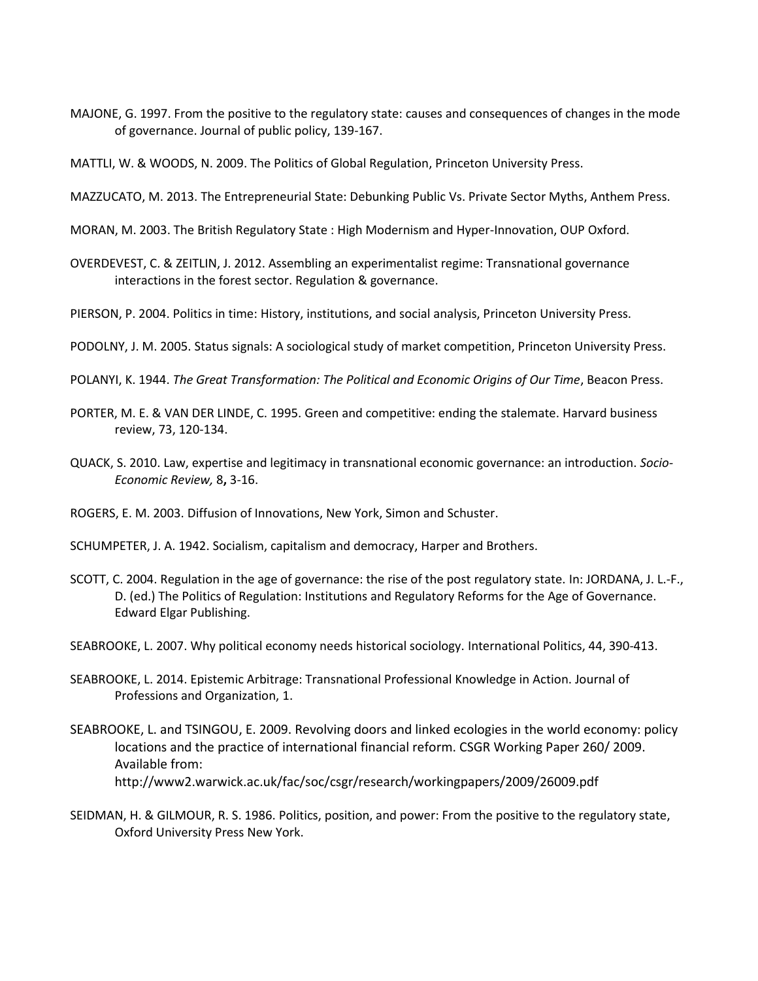- MAJONE, G. 1997. From the positive to the regulatory state: causes and consequences of changes in the mode of governance. Journal of public policy, 139-167.
- MATTLI, W. & WOODS, N. 2009. The Politics of Global Regulation, Princeton University Press.
- MAZZUCATO, M. 2013. The Entrepreneurial State: Debunking Public Vs. Private Sector Myths, Anthem Press.
- MORAN, M. 2003. The British Regulatory State : High Modernism and Hyper-Innovation, OUP Oxford.
- OVERDEVEST, C. & ZEITLIN, J. 2012. Assembling an experimentalist regime: Transnational governance interactions in the forest sector. Regulation & governance.
- PIERSON, P. 2004. Politics in time: History, institutions, and social analysis, Princeton University Press.
- PODOLNY, J. M. 2005. Status signals: A sociological study of market competition, Princeton University Press.
- POLANYI, K. 1944. *The Great Transformation: The Political and Economic Origins of Our Time*, Beacon Press.
- PORTER, M. E. & VAN DER LINDE, C. 1995. Green and competitive: ending the stalemate. Harvard business review, 73, 120-134.
- QUACK, S. 2010. Law, expertise and legitimacy in transnational economic governance: an introduction. *Socio-Economic Review,* 8**,** 3-16.
- ROGERS, E. M. 2003. Diffusion of Innovations, New York, Simon and Schuster.
- SCHUMPETER, J. A. 1942. Socialism, capitalism and democracy, Harper and Brothers.
- SCOTT, C. 2004. Regulation in the age of governance: the rise of the post regulatory state. In: JORDANA, J. L.-F., D. (ed.) The Politics of Regulation: Institutions and Regulatory Reforms for the Age of Governance. Edward Elgar Publishing.
- SEABROOKE, L. 2007. Why political economy needs historical sociology. International Politics, 44, 390-413.
- SEABROOKE, L. 2014. Epistemic Arbitrage: Transnational Professional Knowledge in Action. Journal of Professions and Organization, 1.
- SEABROOKE, L. and TSINGOU, E. 2009. Revolving doors and linked ecologies in the world economy: policy locations and the practice of international financial reform. CSGR Working Paper 260/ 2009. Available from: http://www2.warwick.ac.uk/fac/soc/csgr/research/workingpapers/2009/26009.pdf
- SEIDMAN, H. & GILMOUR, R. S. 1986. Politics, position, and power: From the positive to the regulatory state, Oxford University Press New York.